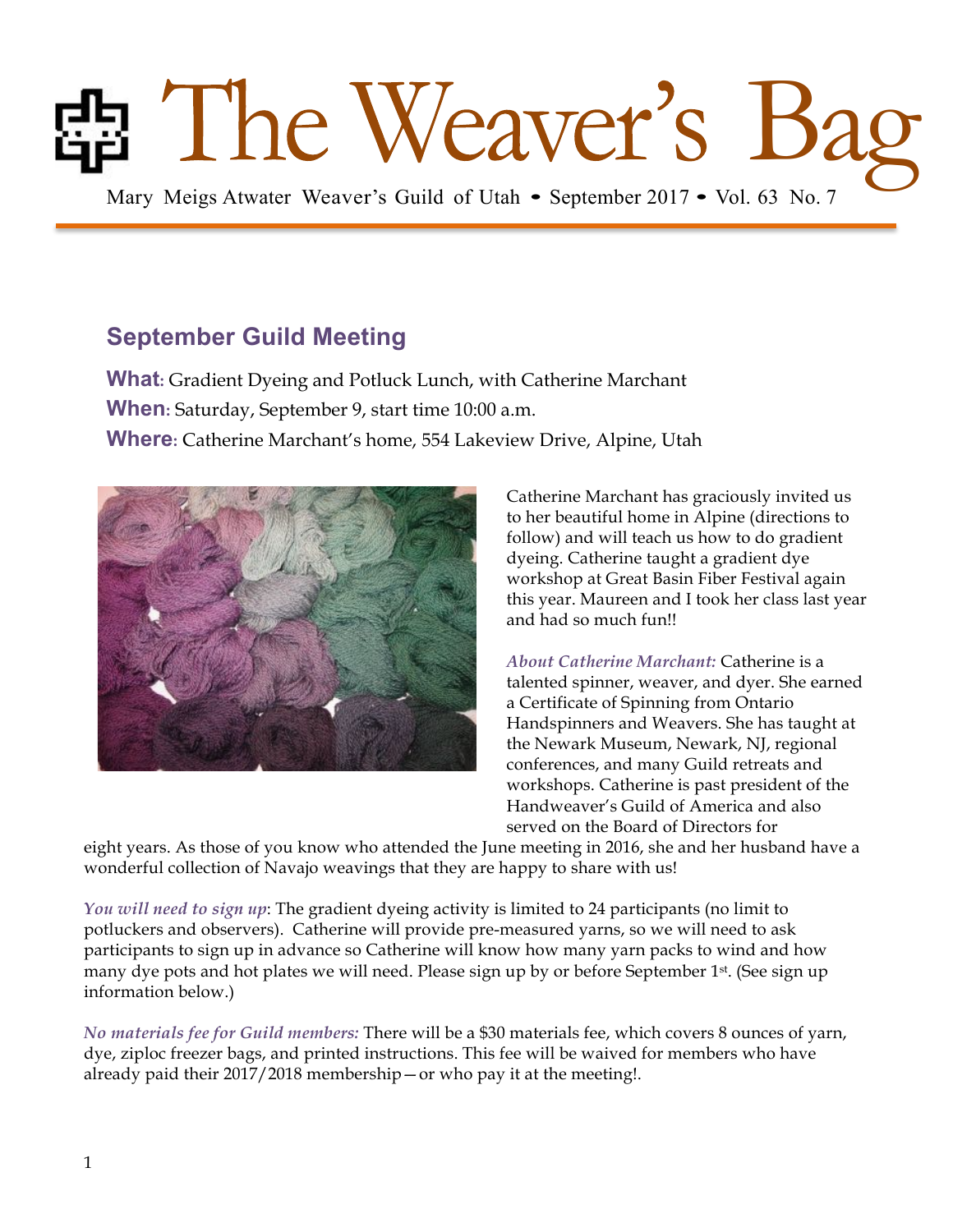# **Bag Mary Meigs Atwater Weaver's Guild of Utah • September 2017 • Vol. 63 No. 7**

# **September Guild Meeting**

**What:** Gradient Dyeing and Potluck Lunch, with Catherine Marchant **When:** Saturday, September 9, start time 10:00 a.m. **Where:** Catherine Marchant's home, 554 Lakeview Drive, Alpine, Utah



Catherine Marchant has graciously invited us to her beautiful home in Alpine (directions to follow) and will teach us how to do gradient dyeing. Catherine taught a gradient dye workshop at Great Basin Fiber Festival again this year. Maureen and I took her class last year and had so much fun!!

*About Catherine Marchant:* Catherine is a talented spinner, weaver, and dyer. She earned a Certificate of Spinning from Ontario Handspinners and Weavers. She has taught at the Newark Museum, Newark, NJ, regional conferences, and many Guild retreats and workshops. Catherine is past president of the Handweaver's Guild of America and also served on the Board of Directors for

eight years. As those of you know who attended the June meeting in 2016, she and her husband have a wonderful collection of Navajo weavings that they are happy to share with us!

*You will need to sign up*: The gradient dyeing activity is limited to 24 participants (no limit to potluckers and observers). Catherine will provide pre-measured yarns, so we will need to ask participants to sign up in advance so Catherine will know how many yarn packs to wind and how many dye pots and hot plates we will need. Please sign up by or before September 1st. (See sign up information below.)

*No materials fee for Guild members:* There will be a \$30 materials fee, which covers 8 ounces of yarn, dye, ziploc freezer bags, and printed instructions. This fee will be waived for members who have already paid their 2017/2018 membership—or who pay it at the meeting!.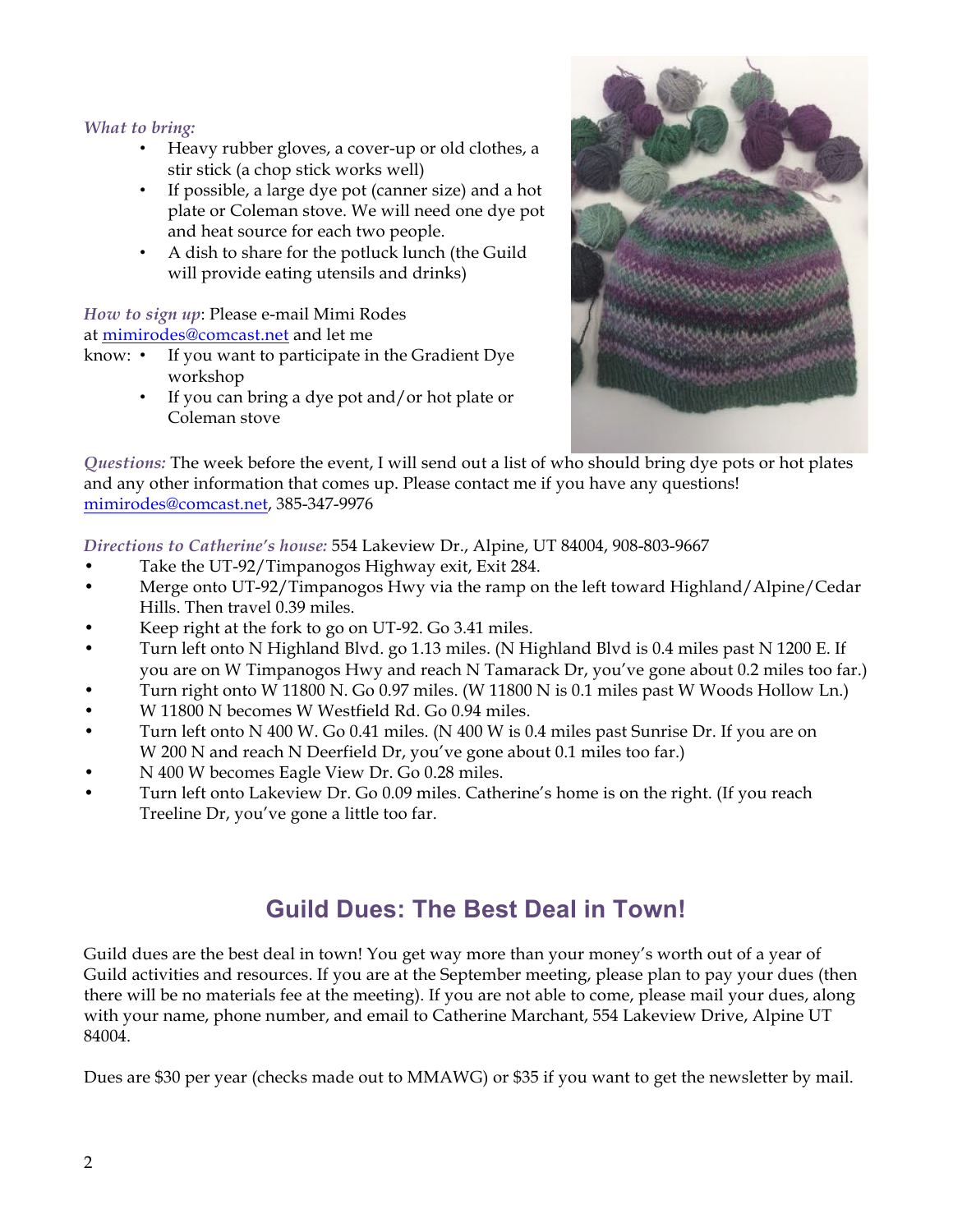#### *What to bring:*

- Heavy rubber gloves, a cover-up or old clothes, a stir stick (a chop stick works well)
- If possible, a large dye pot (canner size) and a hot plate or Coleman stove. We will need one dye pot and heat source for each two people.
- A dish to share for the potluck lunch (the Guild will provide eating utensils and drinks)

*How to sign up*: Please e-mail Mimi Rodes at mimirodes@comcast.net and let me

- know: If you want to participate in the Gradient Dye workshop
	- If you can bring a dye pot and/or hot plate or Coleman stove



*Questions:* The week before the event, I will send out a list of who should bring dye pots or hot plates and any other information that comes up. Please contact me if you have any questions! mimirodes@comcast.net, 385-347-9976

*Directions to Catherine's house:* 554 Lakeview Dr., Alpine, UT 84004, 908-803-9667

- Take the UT-92/Timpanogos Highway exit, Exit 284.
- Merge onto UT-92/Timpanogos Hwy via the ramp on the left toward Highland/Alpine/Cedar Hills. Then travel 0.39 miles.
- Keep right at the fork to go on UT-92. Go 3.41 miles.
- Turn left onto N Highland Blvd. go 1.13 miles. (N Highland Blvd is 0.4 miles past N 1200 E. If you are on W Timpanogos Hwy and reach N Tamarack Dr, you've gone about 0.2 miles too far.)
- Turn right onto W 11800 N. Go 0.97 miles. (W 11800 N is 0.1 miles past W Woods Hollow Ln.)
- W 11800 N becomes W Westfield Rd. Go 0.94 miles.
- Turn left onto N 400 W. Go 0.41 miles. (N 400 W is 0.4 miles past Sunrise Dr. If you are on W 200 N and reach N Deerfield Dr, you've gone about 0.1 miles too far.)
- N 400 W becomes Eagle View Dr. Go 0.28 miles.
- Turn left onto Lakeview Dr. Go 0.09 miles. Catherine's home is on the right. (If you reach Treeline Dr, you've gone a little too far.

# **Guild Dues: The Best Deal in Town!**

Guild dues are the best deal in town! You get way more than your money's worth out of a year of Guild activities and resources. If you are at the September meeting, please plan to pay your dues (then there will be no materials fee at the meeting). If you are not able to come, please mail your dues, along with your name, phone number, and email to Catherine Marchant, 554 Lakeview Drive, Alpine UT 84004.

Dues are \$30 per year (checks made out to MMAWG) or \$35 if you want to get the newsletter by mail.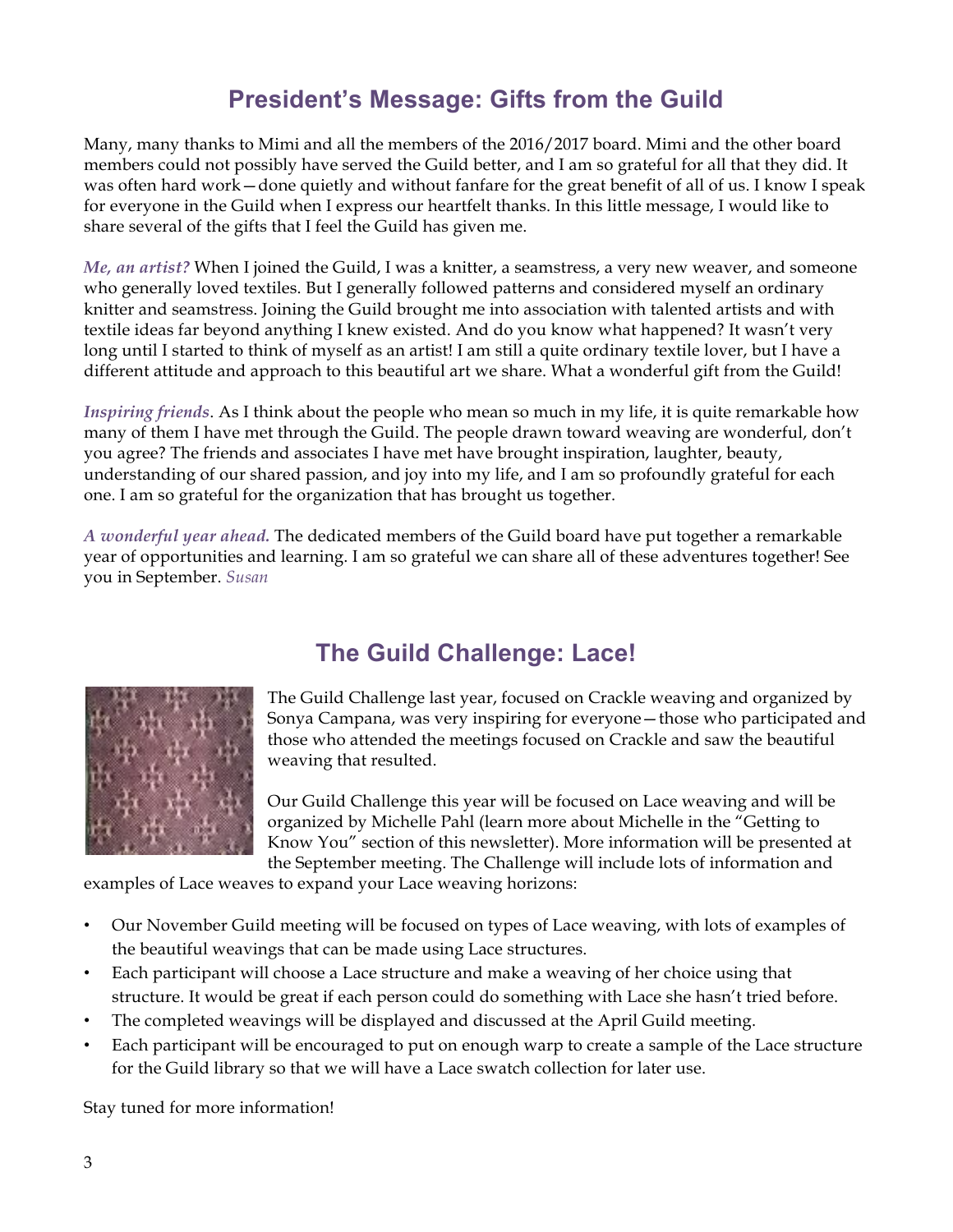# **President's Message: Gifts from the Guild**

Many, many thanks to Mimi and all the members of the 2016/2017 board. Mimi and the other board members could not possibly have served the Guild better, and I am so grateful for all that they did. It was often hard work—done quietly and without fanfare for the great benefit of all of us. I know I speak for everyone in the Guild when I express our heartfelt thanks. In this little message, I would like to share several of the gifts that I feel the Guild has given me.

*Me, an artist?* When I joined the Guild, I was a knitter, a seamstress, a very new weaver, and someone who generally loved textiles. But I generally followed patterns and considered myself an ordinary knitter and seamstress. Joining the Guild brought me into association with talented artists and with textile ideas far beyond anything I knew existed. And do you know what happened? It wasn't very long until I started to think of myself as an artist! I am still a quite ordinary textile lover, but I have a different attitude and approach to this beautiful art we share. What a wonderful gift from the Guild!

*Inspiring friends*. As I think about the people who mean so much in my life, it is quite remarkable how many of them I have met through the Guild. The people drawn toward weaving are wonderful, don't you agree? The friends and associates I have met have brought inspiration, laughter, beauty, understanding of our shared passion, and joy into my life, and I am so profoundly grateful for each one. I am so grateful for the organization that has brought us together.

*A wonderful year ahead.* The dedicated members of the Guild board have put together a remarkable year of opportunities and learning. I am so grateful we can share all of these adventures together! See you in September. *Susan*



# **The Guild Challenge: Lace!**

The Guild Challenge last year, focused on Crackle weaving and organized by Sonya Campana, was very inspiring for everyone—those who participated and those who attended the meetings focused on Crackle and saw the beautiful weaving that resulted.

Our Guild Challenge this year will be focused on Lace weaving and will be organized by Michelle Pahl (learn more about Michelle in the "Getting to Know You" section of this newsletter). More information will be presented at the September meeting. The Challenge will include lots of information and

examples of Lace weaves to expand your Lace weaving horizons:

- Our November Guild meeting will be focused on types of Lace weaving, with lots of examples of the beautiful weavings that can be made using Lace structures.
- Each participant will choose a Lace structure and make a weaving of her choice using that structure. It would be great if each person could do something with Lace she hasn't tried before.
- The completed weavings will be displayed and discussed at the April Guild meeting.
- Each participant will be encouraged to put on enough warp to create a sample of the Lace structure for the Guild library so that we will have a Lace swatch collection for later use.

Stay tuned for more information!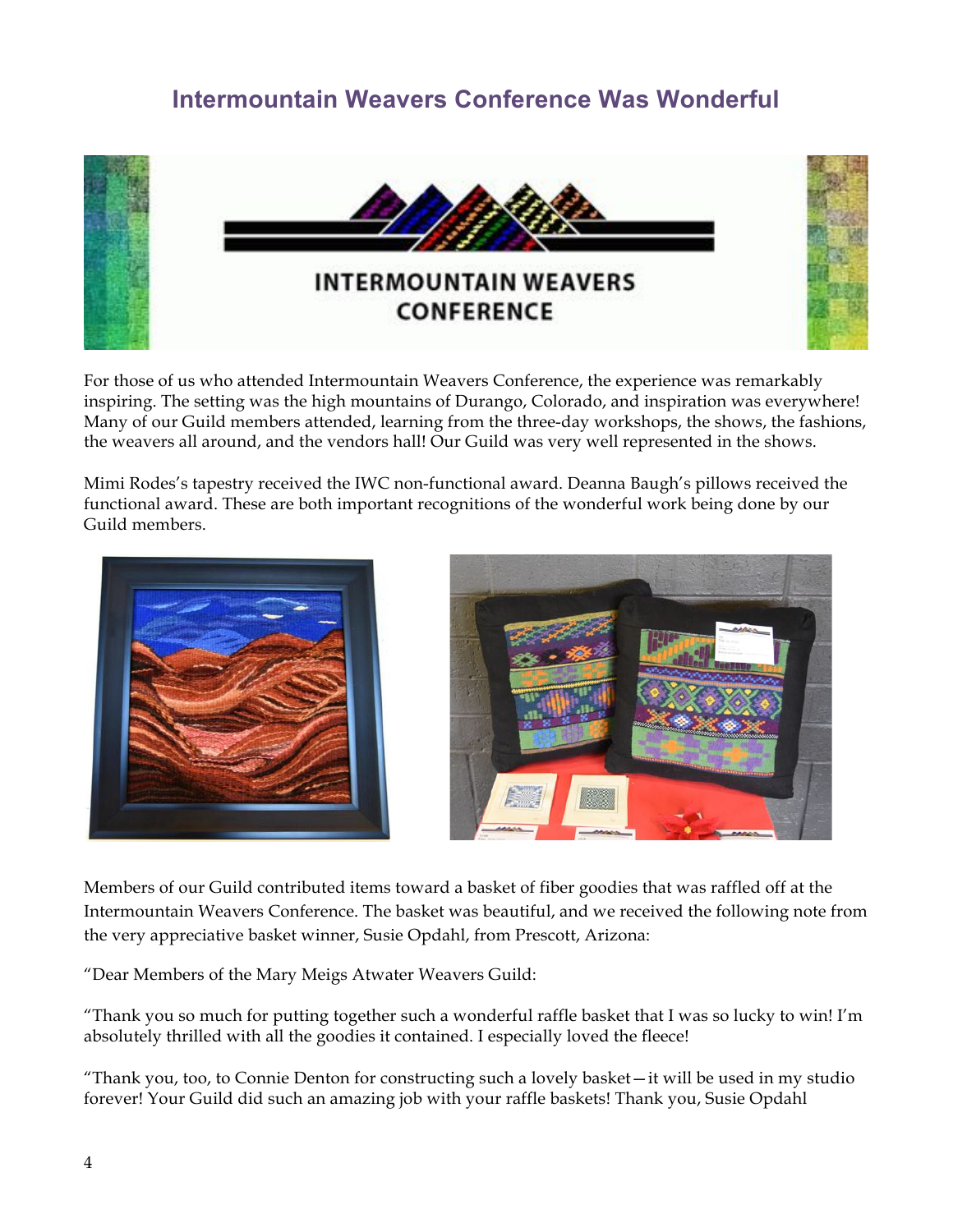## **Intermountain Weavers Conference Was Wonderful**



For those of us who attended Intermountain Weavers Conference, the experience was remarkably inspiring. The setting was the high mountains of Durango, Colorado, and inspiration was everywhere! Many of our Guild members attended, learning from the three-day workshops, the shows, the fashions, the weavers all around, and the vendors hall! Our Guild was very well represented in the shows.

Mimi Rodes's tapestry received the IWC non-functional award. Deanna Baugh's pillows received the functional award. These are both important recognitions of the wonderful work being done by our Guild members.





Members of our Guild contributed items toward a basket of fiber goodies that was raffled off at the Intermountain Weavers Conference. The basket was beautiful, and we received the following note from the very appreciative basket winner, Susie Opdahl, from Prescott, Arizona:

"Dear Members of the Mary Meigs Atwater Weavers Guild:

"Thank you so much for putting together such a wonderful raffle basket that I was so lucky to win! I'm absolutely thrilled with all the goodies it contained. I especially loved the fleece!

"Thank you, too, to Connie Denton for constructing such a lovely basket—it will be used in my studio forever! Your Guild did such an amazing job with your raffle baskets! Thank you, Susie Opdahl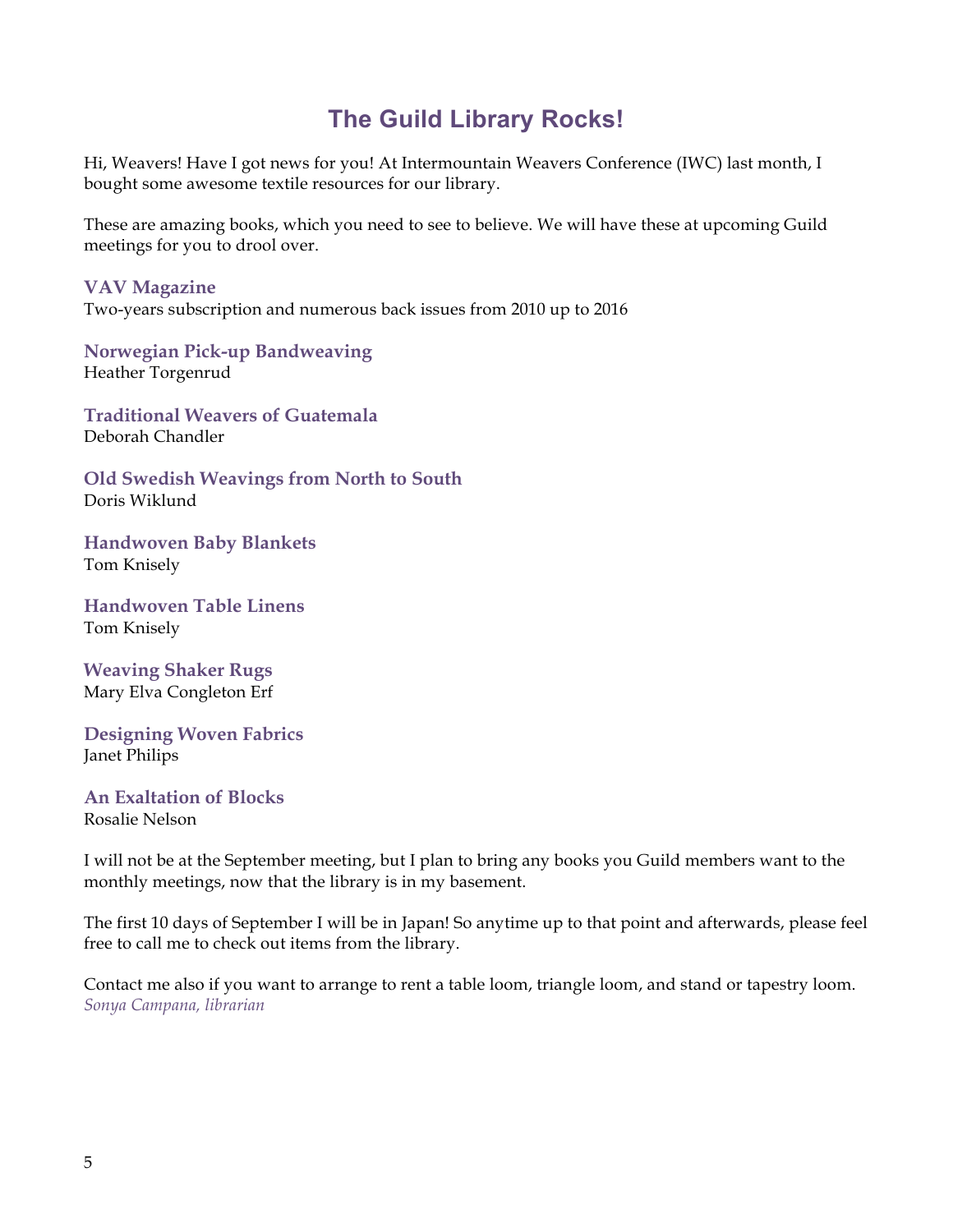# **The Guild Library Rocks!**

Hi, Weavers! Have I got news for you! At Intermountain Weavers Conference (IWC) last month, I bought some awesome textile resources for our library.

These are amazing books, which you need to see to believe. We will have these at upcoming Guild meetings for you to drool over.

**VAV Magazine**

Two-years subscription and numerous back issues from 2010 up to 2016

**Norwegian Pick-up Bandweaving** Heather Torgenrud

**Traditional Weavers of Guatemala** Deborah Chandler

**Old Swedish Weavings from North to South** Doris Wiklund

**Handwoven Baby Blankets** Tom Knisely

**Handwoven Table Linens** Tom Knisely

**Weaving Shaker Rugs** Mary Elva Congleton Erf

**Designing Woven Fabrics** Janet Philips

**An Exaltation of Blocks** Rosalie Nelson

I will not be at the September meeting, but I plan to bring any books you Guild members want to the monthly meetings, now that the library is in my basement.

The first 10 days of September I will be in Japan! So anytime up to that point and afterwards, please feel free to call me to check out items from the library.

Contact me also if you want to arrange to rent a table loom, triangle loom, and stand or tapestry loom. *Sonya Campana, librarian*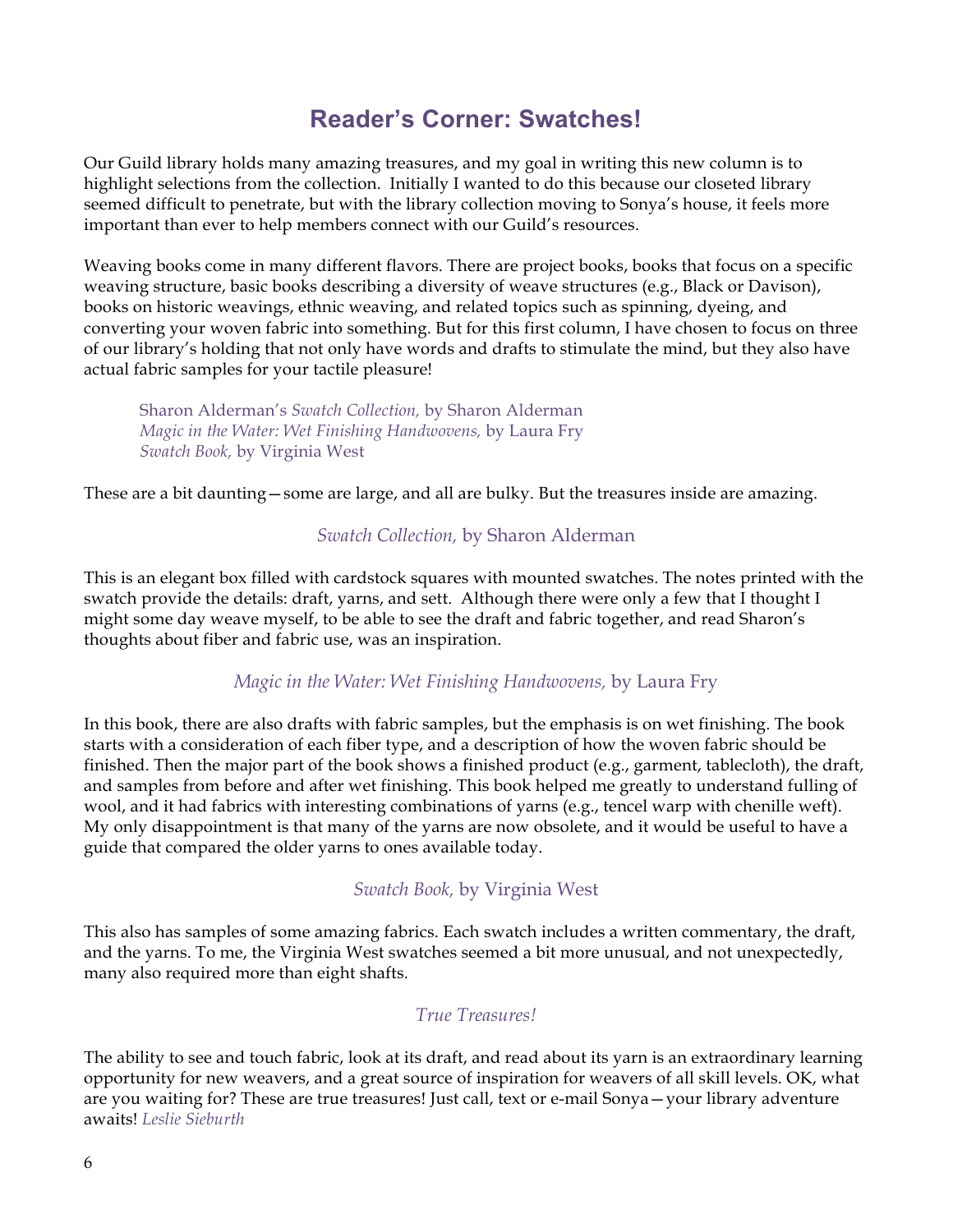## **Reader's Corner: Swatches!**

Our Guild library holds many amazing treasures, and my goal in writing this new column is to highlight selections from the collection. Initially I wanted to do this because our closeted library seemed difficult to penetrate, but with the library collection moving to Sonya's house, it feels more important than ever to help members connect with our Guild's resources.

Weaving books come in many different flavors. There are project books, books that focus on a specific weaving structure, basic books describing a diversity of weave structures (e.g., Black or Davison), books on historic weavings, ethnic weaving, and related topics such as spinning, dyeing, and converting your woven fabric into something. But for this first column, I have chosen to focus on three of our library's holding that not only have words and drafts to stimulate the mind, but they also have actual fabric samples for your tactile pleasure!

Sharon Alderman's *Swatch Collection,* by Sharon Alderman *Magic in the Water: Wet Finishing Handwovens,* by Laura Fry *Swatch Book,* by Virginia West

These are a bit daunting—some are large, and all are bulky. But the treasures inside are amazing.

#### *Swatch Collection,* by Sharon Alderman

This is an elegant box filled with cardstock squares with mounted swatches. The notes printed with the swatch provide the details: draft, yarns, and sett. Although there were only a few that I thought I might some day weave myself, to be able to see the draft and fabric together, and read Sharon's thoughts about fiber and fabric use, was an inspiration.

#### *Magic in the Water: Wet Finishing Handwovens,* by Laura Fry

In this book, there are also drafts with fabric samples, but the emphasis is on wet finishing. The book starts with a consideration of each fiber type, and a description of how the woven fabric should be finished. Then the major part of the book shows a finished product (e.g., garment, tablecloth), the draft, and samples from before and after wet finishing. This book helped me greatly to understand fulling of wool, and it had fabrics with interesting combinations of yarns (e.g., tencel warp with chenille weft). My only disappointment is that many of the yarns are now obsolete, and it would be useful to have a guide that compared the older yarns to ones available today.

#### *Swatch Book,* by Virginia West

This also has samples of some amazing fabrics. Each swatch includes a written commentary, the draft, and the yarns. To me, the Virginia West swatches seemed a bit more unusual, and not unexpectedly, many also required more than eight shafts.

#### *True Treasures!*

The ability to see and touch fabric, look at its draft, and read about its yarn is an extraordinary learning opportunity for new weavers, and a great source of inspiration for weavers of all skill levels. OK, what are you waiting for? These are true treasures! Just call, text or e-mail Sonya—your library adventure awaits! *Leslie Sieburth*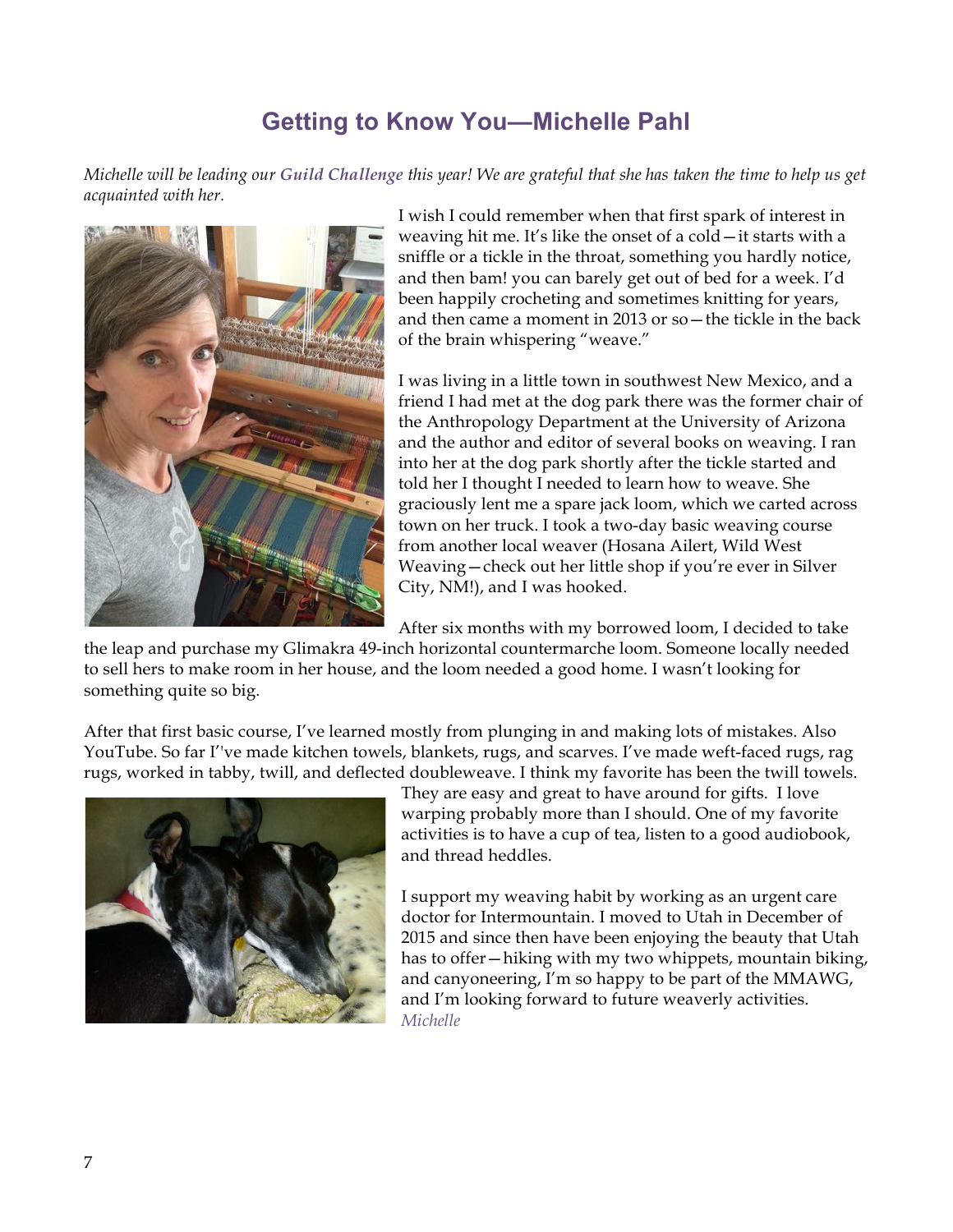# **Getting to Know You—Michelle Pahl**

*Michelle will be leading our Guild Challenge this year! We are grateful that she has taken the time to help us get acquainted with her.*



I wish I could remember when that first spark of interest in weaving hit me. It's like the onset of a cold—it starts with a sniffle or a tickle in the throat, something you hardly notice, and then bam! you can barely get out of bed for a week. I'd been happily crocheting and sometimes knitting for years, and then came a moment in 2013 or so—the tickle in the back of the brain whispering "weave."

I was living in a little town in southwest New Mexico, and a friend I had met at the dog park there was the former chair of the Anthropology Department at the University of Arizona and the author and editor of several books on weaving. I ran into her at the dog park shortly after the tickle started and told her I thought I needed to learn how to weave. She graciously lent me a spare jack loom, which we carted across town on her truck. I took a two-day basic weaving course from another local weaver (Hosana Ailert, Wild West Weaving—check out her little shop if you're ever in Silver City, NM!), and I was hooked.

After six months with my borrowed loom, I decided to take

the leap and purchase my Glimakra 49-inch horizontal countermarche loom. Someone locally needed to sell hers to make room in her house, and the loom needed a good home. I wasn't looking for something quite so big.

After that first basic course, I've learned mostly from plunging in and making lots of mistakes. Also YouTube. So far I''ve made kitchen towels, blankets, rugs, and scarves. I've made weft-faced rugs, rag rugs, worked in tabby, twill, and deflected doubleweave. I think my favorite has been the twill towels.



They are easy and great to have around for gifts. I love warping probably more than I should. One of my favorite activities is to have a cup of tea, listen to a good audiobook, and thread heddles.

I support my weaving habit by working as an urgent care doctor for Intermountain. I moved to Utah in December of 2015 and since then have been enjoying the beauty that Utah has to offer—hiking with my two whippets, mountain biking, and canyoneering, I'm so happy to be part of the MMAWG, and I'm looking forward to future weaverly activities. *Michelle*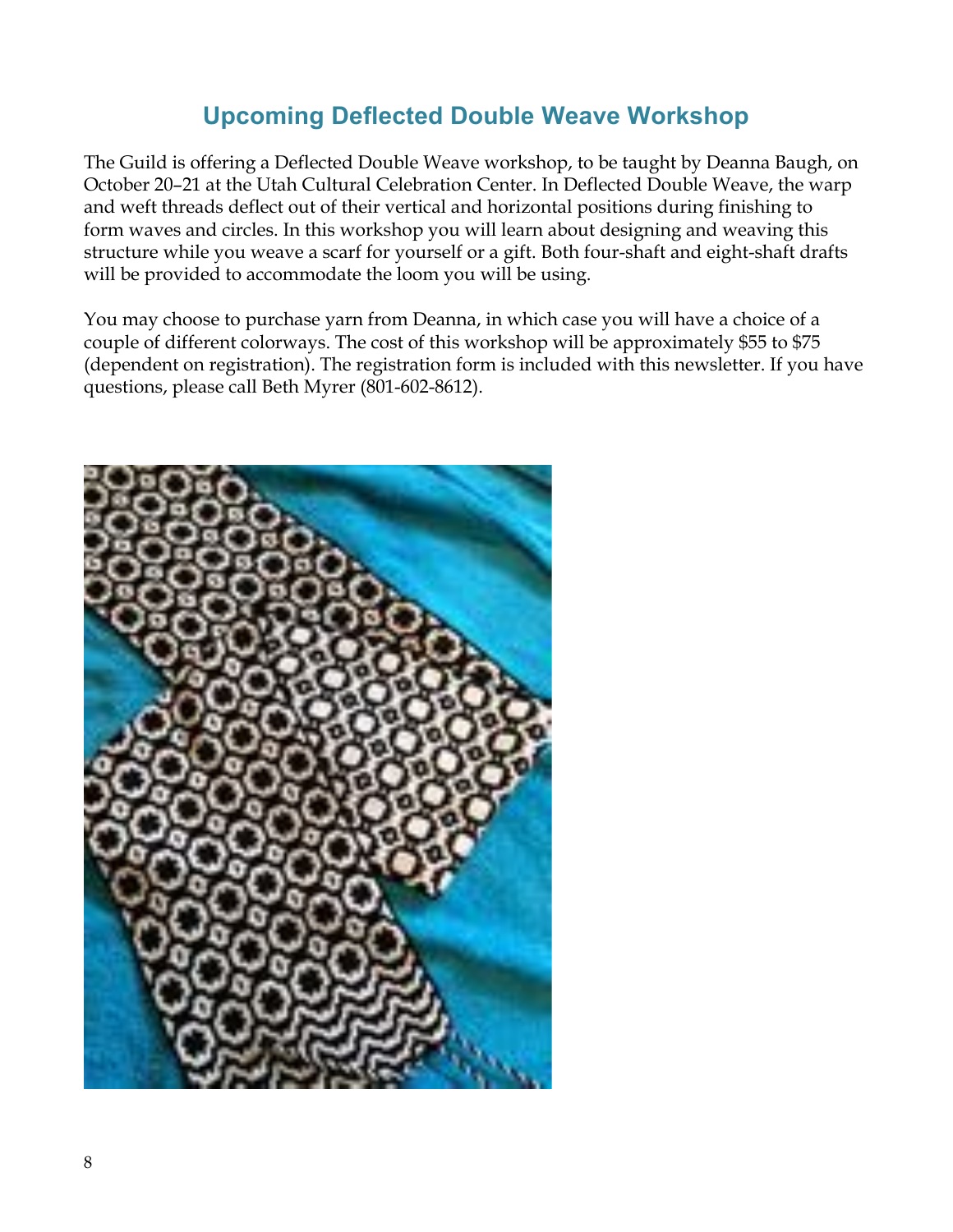# **Upcoming Deflected Double Weave Workshop**

The Guild is offering a Deflected Double Weave workshop, to be taught by Deanna Baugh, on October 20–21 at the Utah Cultural Celebration Center. In Deflected Double Weave, the warp and weft threads deflect out of their vertical and horizontal positions during finishing to form waves and circles. In this workshop you will learn about designing and weaving this structure while you weave a scarf for yourself or a gift. Both four-shaft and eight-shaft drafts will be provided to accommodate the loom you will be using.

You may choose to purchase yarn from Deanna, in which case you will have a choice of a couple of different colorways. The cost of this workshop will be approximately \$55 to \$75 (dependent on registration). The registration form is included with this newsletter. If you have questions, please call Beth Myrer (801-602-8612).

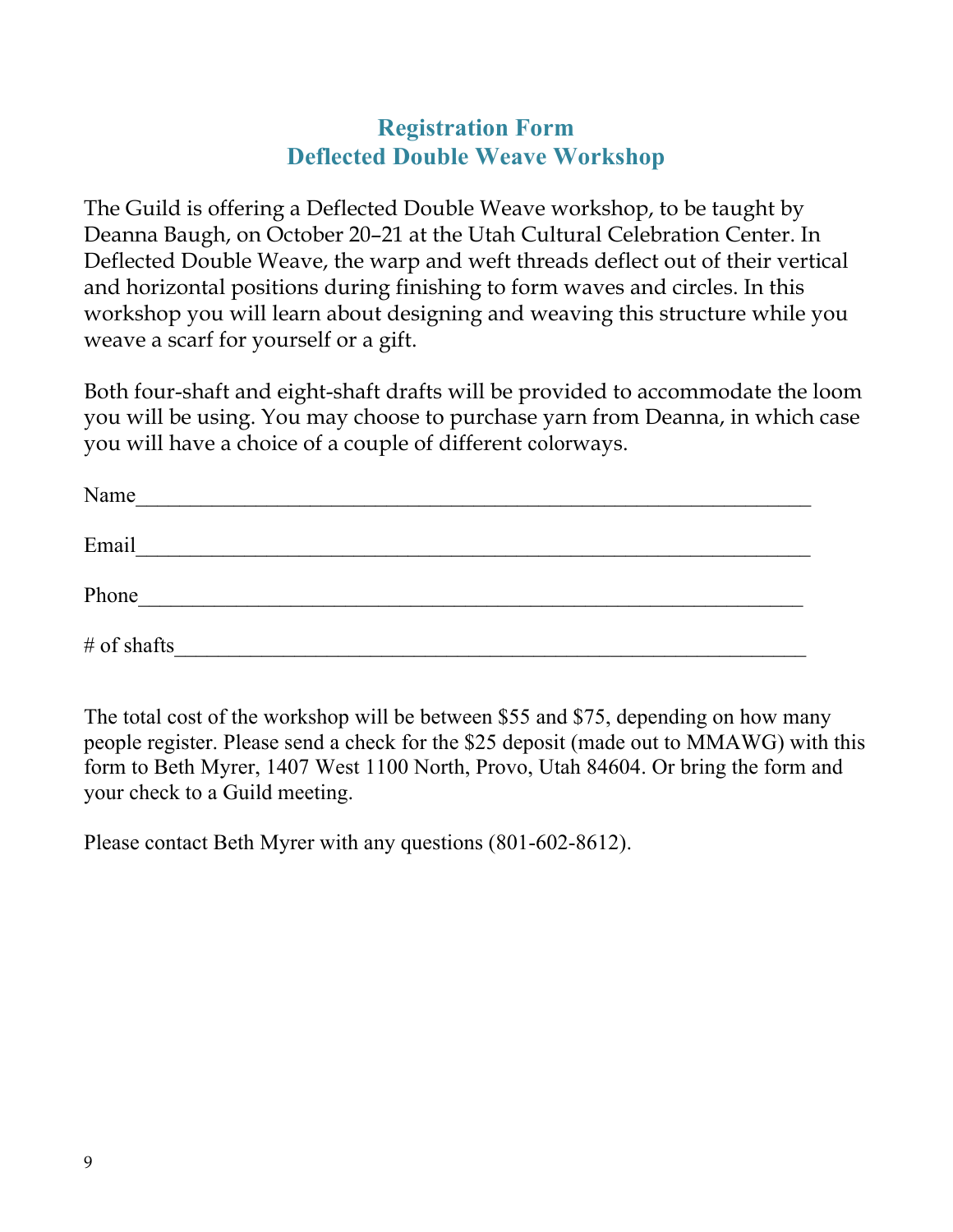### **Registration Form Deflected Double Weave Workshop**

The Guild is offering a Deflected Double Weave workshop, to be taught by Deanna Baugh, on October 20–21 at the Utah Cultural Celebration Center. In Deflected Double Weave, the warp and weft threads deflect out of their vertical and horizontal positions during finishing to form waves and circles. In this workshop you will learn about designing and weaving this structure while you weave a scarf for yourself or a gift.

Both four-shaft and eight-shaft drafts will be provided to accommodate the loom you will be using. You may choose to purchase yarn from Deanna, in which case you will have a choice of a couple of different colorways.

| Name          |  |  |
|---------------|--|--|
| Email         |  |  |
| Phone         |  |  |
| $#$ of shafts |  |  |

The total cost of the workshop will be between \$55 and \$75, depending on how many people register. Please send a check for the \$25 deposit (made out to MMAWG) with this form to Beth Myrer, 1407 West 1100 North, Provo, Utah 84604. Or bring the form and your check to a Guild meeting.

Please contact Beth Myrer with any questions (801-602-8612).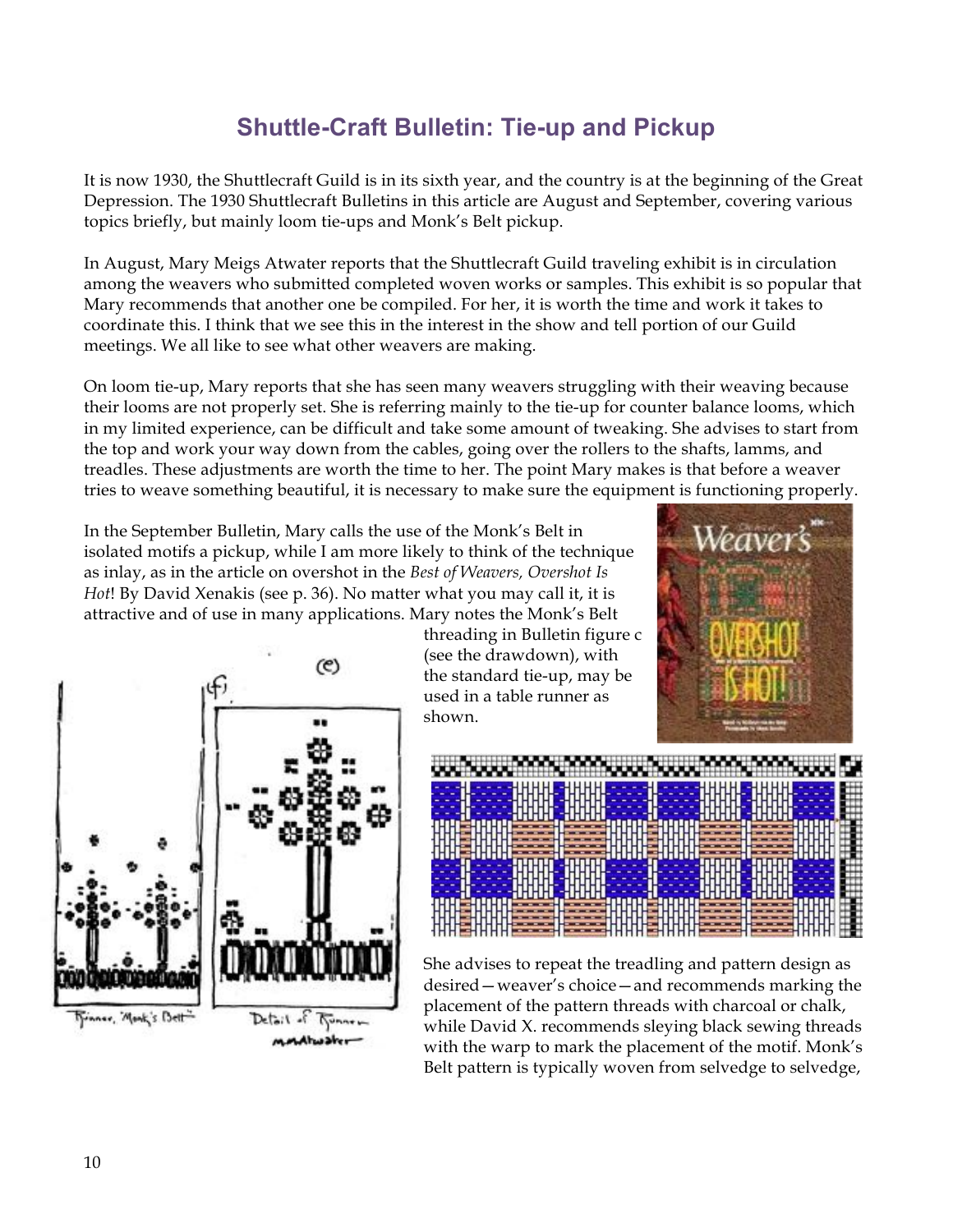# **Shuttle-Craft Bulletin: Tie-up and Pickup**

It is now 1930, the Shuttlecraft Guild is in its sixth year, and the country is at the beginning of the Great Depression. The 1930 Shuttlecraft Bulletins in this article are August and September, covering various topics briefly, but mainly loom tie-ups and Monk's Belt pickup.

In August, Mary Meigs Atwater reports that the Shuttlecraft Guild traveling exhibit is in circulation among the weavers who submitted completed woven works or samples. This exhibit is so popular that Mary recommends that another one be compiled. For her, it is worth the time and work it takes to coordinate this. I think that we see this in the interest in the show and tell portion of our Guild meetings. We all like to see what other weavers are making.

On loom tie-up, Mary reports that she has seen many weavers struggling with their weaving because their looms are not properly set. She is referring mainly to the tie-up for counter balance looms, which in my limited experience, can be difficult and take some amount of tweaking. She advises to start from the top and work your way down from the cables, going over the rollers to the shafts, lamms, and treadles. These adjustments are worth the time to her. The point Mary makes is that before a weaver tries to weave something beautiful, it is necessary to make sure the equipment is functioning properly.

In the September Bulletin, Mary calls the use of the Monk's Belt in isolated motifs a pickup, while I am more likely to think of the technique as inlay, as in the article on overshot in the *Best of Weavers, Overshot Is Hot*! By David Xenakis (see p. 36). No matter what you may call it, it is attractive and of use in many applications. Mary notes the Monk's Belt



threading in Bulletin figure c (see the drawdown), with the standard tie-up, may be used in a table runner as shown.





She advises to repeat the treadling and pattern design as desired—weaver's choice—and recommends marking the placement of the pattern threads with charcoal or chalk, while David X. recommends sleying black sewing threads with the warp to mark the placement of the motif. Monk's Belt pattern is typically woven from selvedge to selvedge,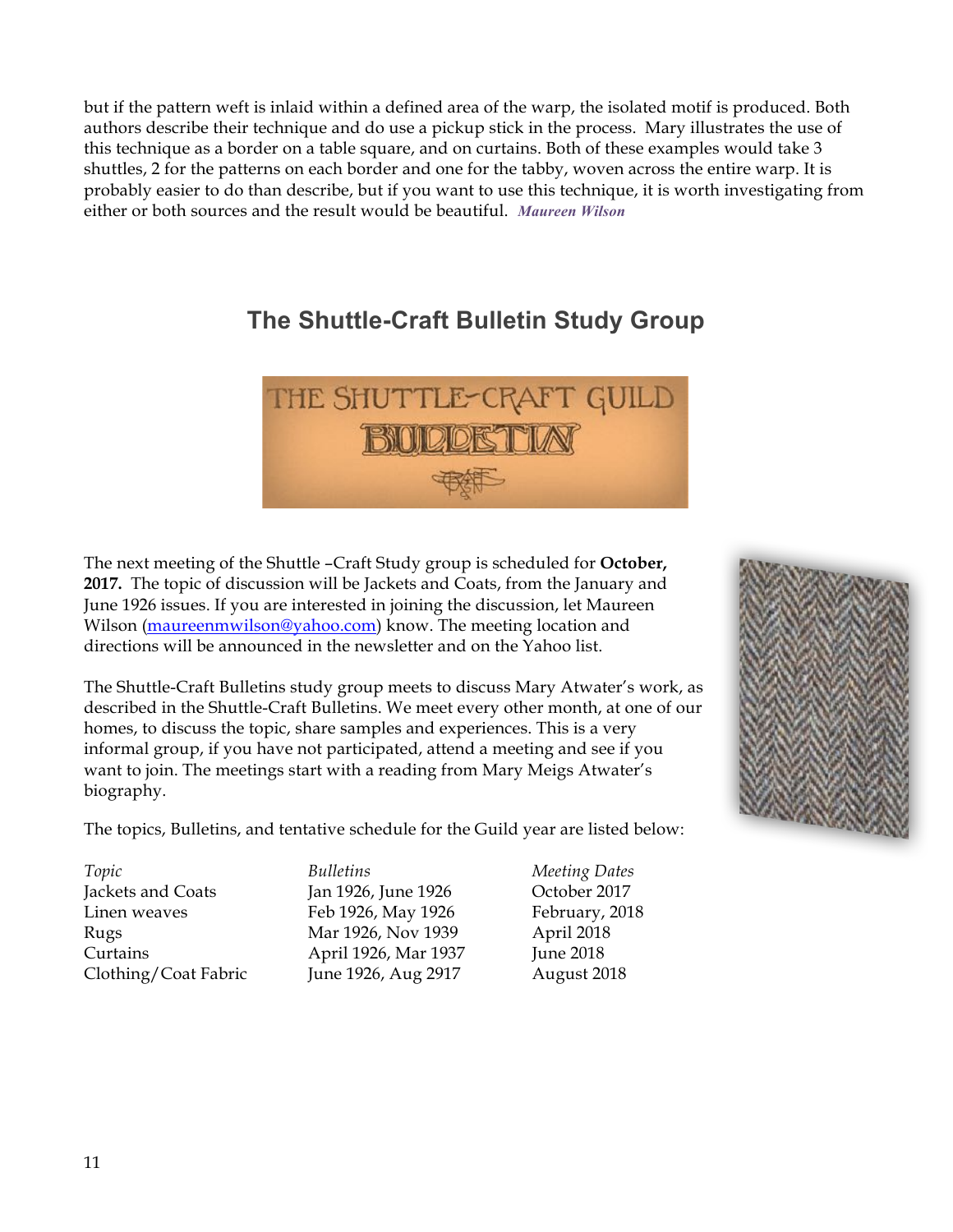but if the pattern weft is inlaid within a defined area of the warp, the isolated motif is produced. Both authors describe their technique and do use a pickup stick in the process. Mary illustrates the use of this technique as a border on a table square, and on curtains. Both of these examples would take 3 shuttles, 2 for the patterns on each border and one for the tabby, woven across the entire warp. It is probably easier to do than describe, but if you want to use this technique, it is worth investigating from either or both sources and the result would be beautiful. *Maureen Wilson*

# **The Shuttle-Craft Bulletin Study Group**



The next meeting of the Shuttle –Craft Study group is scheduled for **October, 2017.** The topic of discussion will be Jackets and Coats, from the January and June 1926 issues. If you are interested in joining the discussion, let Maureen Wilson (maureenmwilson@yahoo.com) know. The meeting location and directions will be announced in the newsletter and on the Yahoo list.

The Shuttle-Craft Bulletins study group meets to discuss Mary Atwater's work, as described in the Shuttle-Craft Bulletins. We meet every other month, at one of our homes, to discuss the topic, share samples and experiences. This is a very informal group, if you have not participated, attend a meeting and see if you want to join. The meetings start with a reading from Mary Meigs Atwater's biography.

The topics, Bulletins, and tentative schedule for the Guild year are listed below:

*Topic Bulletins Meeting Dates*

Jackets and Coats Jan 1926, June 1926 October 2017 Linen weaves Feb 1926, May 1926 February, 2018 Rugs Mar 1926, Nov 1939 April 2018 Curtains April 1926, Mar 1937 June 2018 Clothing/Coat Fabric June 1926, Aug 2917 August 2018